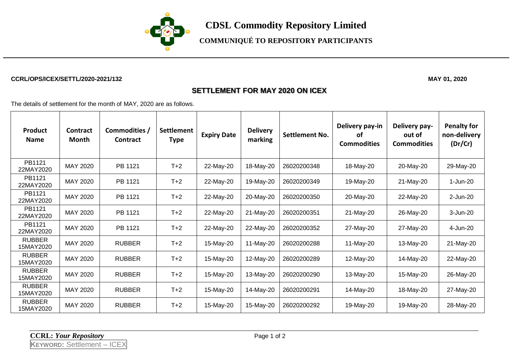

## **COMMUNIQUÉ TO REPOSITORY PARTICIPANTS**

#### **CCRL/OPS/ICEX/SETTL/2020-2021/132 MAY 01, 2020**

### **SETTLEMENT FOR MAY 2020 ON ICEX**

The details of settlement for the month of MAY, 2020 are as follows.

| <b>Product</b><br><b>Name</b> | Contract<br>Month | Commodities /<br><b>Contract</b> | <b>Settlement</b><br><b>Type</b> | <b>Expiry Date</b> | <b>Delivery</b><br>marking | <b>Settlement No.</b> | Delivery pay-in<br>οf<br><b>Commodities</b> | Delivery pay-<br>out of<br><b>Commodities</b> | <b>Penalty for</b><br>non-delivery<br>(Dr/Cr) |
|-------------------------------|-------------------|----------------------------------|----------------------------------|--------------------|----------------------------|-----------------------|---------------------------------------------|-----------------------------------------------|-----------------------------------------------|
| PB1121<br>22MAY2020           | MAY 2020          | PB 1121                          | $T+2$                            | 22-May-20          | 18-May-20                  | 26020200348           | 18-May-20                                   | 20-May-20                                     | 29-May-20                                     |
| PB1121<br>22MAY2020           | MAY 2020          | PB 1121                          | $T+2$                            | 22-May-20          | 19-May-20                  | 26020200349           | 19-May-20                                   | 21-May-20                                     | 1-Jun-20                                      |
| PB1121<br>22MAY2020           | MAY 2020          | PB 1121                          | $T+2$                            | 22-May-20          | 20-May-20                  | 26020200350           | 20-May-20                                   | 22-May-20                                     | 2-Jun-20                                      |
| PB1121<br>22MAY2020           | MAY 2020          | PB 1121                          | $T+2$                            | 22-May-20          | 21-May-20                  | 26020200351           | 21-May-20                                   | 26-May-20                                     | 3-Jun-20                                      |
| PB1121<br>22MAY2020           | MAY 2020          | PB 1121                          | $T+2$                            | 22-May-20          | 22-May-20                  | 26020200352           | 27-May-20                                   | 27-May-20                                     | 4-Jun-20                                      |
| <b>RUBBER</b><br>15MAY2020    | MAY 2020          | <b>RUBBER</b>                    | $T+2$                            | 15-May-20          | 11-May-20                  | 26020200288           | 11-May-20                                   | 13-May-20                                     | 21-May-20                                     |
| <b>RUBBER</b><br>15MAY2020    | <b>MAY 2020</b>   | <b>RUBBER</b>                    | $T+2$                            | 15-May-20          | 12-May-20                  | 26020200289           | 12-May-20                                   | 14-May-20                                     | 22-May-20                                     |
| <b>RUBBER</b><br>15MAY2020    | MAY 2020          | <b>RUBBER</b>                    | $T+2$                            | 15-May-20          | 13-May-20                  | 26020200290           | 13-May-20                                   | 15-May-20                                     | 26-May-20                                     |
| <b>RUBBER</b><br>15MAY2020    | MAY 2020          | <b>RUBBER</b>                    | $T+2$                            | 15-May-20          | 14-May-20                  | 26020200291           | 14-May-20                                   | 18-May-20                                     | 27-May-20                                     |
| <b>RUBBER</b><br>15MAY2020    | MAY 2020          | <b>RUBBER</b>                    | $T+2$                            | 15-May-20          | 15-May-20                  | 26020200292           | 19-May-20                                   | 19-May-20                                     | 28-May-20                                     |

**CCRL:** *Your Repository* Page 1 of 2

**KEYWORD:** Settlement – ICEX